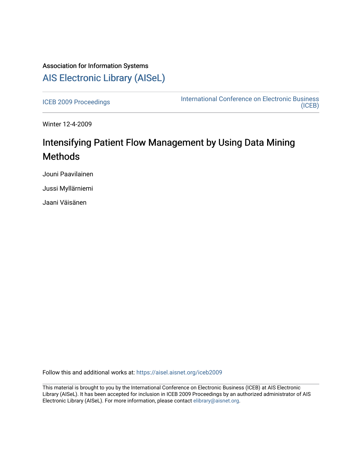## Association for Information Systems [AIS Electronic Library \(AISeL\)](https://aisel.aisnet.org/)

[ICEB 2009 Proceedings](https://aisel.aisnet.org/iceb2009) **International Conference on Electronic Business** [\(ICEB\)](https://aisel.aisnet.org/iceb) 

Winter 12-4-2009

# Intensifying Patient Flow Management by Using Data Mining **Methods**

Jouni Paavilainen

Jussi Myllärniemi

Jaani Väisänen

Follow this and additional works at: [https://aisel.aisnet.org/iceb2009](https://aisel.aisnet.org/iceb2009?utm_source=aisel.aisnet.org%2Ficeb2009%2F4&utm_medium=PDF&utm_campaign=PDFCoverPages)

This material is brought to you by the International Conference on Electronic Business (ICEB) at AIS Electronic Library (AISeL). It has been accepted for inclusion in ICEB 2009 Proceedings by an authorized administrator of AIS Electronic Library (AISeL). For more information, please contact [elibrary@aisnet.org.](mailto:elibrary@aisnet.org%3E)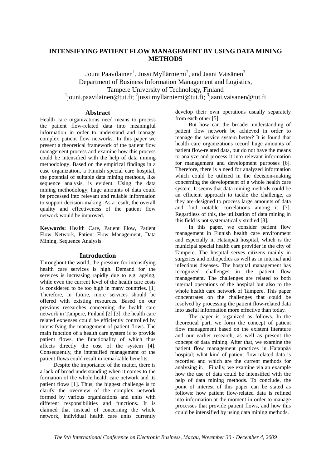## **INTENSIFYING PATIENT FLOW MANAGEMENT BY USING DATA MINING METHODS**

Jouni Paavilainen<sup>1</sup>, Jussi Myllärniemi<sup>2</sup>, and Jaani Väisänen<sup>3</sup> Department of Business Information Management and Logistics, Tampere University of Technology, Finland <sup>1</sup>jouni.paavilainen@tut.fi; <sup>2</sup>jussi.myllarniemi@tut.fi; <sup>3</sup>jaani.vaisanen@tut.fi

## **Abstract**

Health care organizations need means to process the patient flow-related data into meaningful information in order to understand and manage complex patient flow networks. In this paper we present a theoretical framework of the patient flow management process and examine how this process could be intensified with the help of data mining methodology. Based on the empirical findings in a case organization, a Finnish special care hospital, the potential of suitable data mining methods, like sequence analysis, is evident. Using the data mining methodology, huge amounts of data could be processed into relevant and reliable information to support decision-making. As a result, the overall quality and effectiveness of the patient flow network would be improved.

**Keywords:** Health Care, Patient Flow, Patient Flow Network, Patient Flow Management, Data Mining, Sequence Analysis

## **Introduction**

Throughout the world, the pressure for intensifying health care services is high. Demand for the services is increasing rapidly due to e.g. ageing, while even the current level of the health care costs is considered to be too high in many countries. [1] Therefore, in future, more services should be offered with existing resources. Based on our previous researches concerning the health care network in Tampere, Finland [2] [3], the health care related expenses could be efficiently controlled by intensifying the management of patient flows. The main function of a health care system is to provide patient flows, the functionality of which thus affects directly the cost of the system [4]. Consequently, the intensified management of the patient flows could result in remarkable benefits.

Despite the importance of the matter, there is a lack of broad understanding when it comes to the formation of the whole health care network and its patient flows [1]. Thus, the biggest challenge is to clarify the overview of the complex network formed by various organizations and units with different responsibilities and functions. It is claimed that instead of concerning the whole network, individual health care units currently develop their own operations usually separately from each other [5].

But how can the broader understanding of patient flow network be achieved in order to manage the service system better? It is found that health care organizations record huge amounts of patient flow-related data, but do not have the means to analyze and process it into relevant information for management and development purposes [6]. Therefore, there is a need for analyzed information which could be utilized in the decision-making concerning the development of a whole health care system. It seems that data mining methods could be an efficient approach to tackle the challenge, as they are designed to process large amounts of data and find notable correlations among it [7]. Regardless of this, the utilization of data mining in this field is not systematically studied [8].

In this paper, we consider patient flow management in Finnish health care environment and especially in Hatanpää hospital, which is the municipal special health care provider in the city of Tampere. The hospital serves citizens mainly in surgeries and orthopedics as well as in internal and infectious diseases. The hospital management has recognized challenges in the patient flow management. The challenges are related to both internal operations of the hospital but also to the whole health care network of Tampere. This paper concentrates on the challenges that could be resolved by processing the patient flow-related data into useful information more effective than today.

The paper is organized as follows. In the theoretical part, we form the concept of patient flow management based on the existent literature and our earlier research, as well as present the concept of data mining. After that, we examine the patient flow management practices in Hatanpää hospital; what kind of patient flow-related data is recorded and which are the current methods for analyzing it. Finally, we examine via an example how the use of data could be intensified with the help of data mining methods. To conclude, the point of interest of this paper can be stated as follows: how patient flow-related data is refined into information at the moment in order to manage processes that provide patient flows, and how this could be intensified by using data mining methods.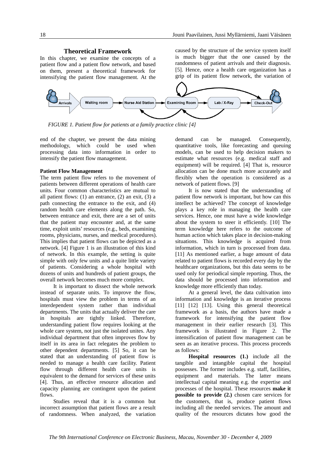#### **Theoretical Framework**

In this chapter, we examine the concepts of a patient flow and a patient flow network, and based on them, present a theoretical framework for intensifying the patient flow management. At the

caused by the structure of the service system itself is much bigger that the one caused by the randomness of patient arrivals and their diagnosis. [5]. Hence, once a health care organization has a grip of its patient flow network, the variation of



*FIGURE 1. Patient flow for patients at a family practice clinic [4]*

end of the chapter, we present the data mining methodology, which could be used when processing data into information in order to intensify the patient flow management.

#### **Patient Flow Management**

The term patient flow refers to the movement of patients between different operations of health care units. Four common characteristics are mutual to all patient flows:  $(1)$  an entrance,  $(2)$  an exit,  $(3)$  a path connecting the entrance to the exit, and (4) random health care elements along the path. So, between entrance and exit, there are a set of units that the patient may encounter and, at the same time, exploit units' resources (e.g., beds, examining rooms, physicians, nurses, and medical procedures). This implies that patient flows can be depicted as a network. [4] Figure 1 is an illustration of this kind of network. In this example, the setting is quite simple with only few units and a quite little variety of patients. Considering a whole hospital with dozens of units and hundreds of patient groups, the overall network becomes much more complex.

It is important to dissect the whole network instead of separate units. To improve the flow, hospitals must view the problem in terms of an interdependent system rather than individual departments. The units that actually deliver the care in hospitals are tightly linked. Therefore, understanding patient flow requires looking at the whole care system, not just the isolated unites. Any individual department that often improves flow by itself in its area in fact relegates the problem to other dependent departments. [5] So, it can be stated that an understanding of patient flow is needed to manage a health care facility. Patient flow through different health care units is equivalent to the demand for services of these units [4]. Thus, an effective resource allocation and capacity planning are contingent upon the patient flows.

Studies reveal that it is a common but incorrect assumption that patient flows are a result of randomness. When analyzed, the variation demand can be managed. Consequently, quantitative tools, like forecasting and queuing models, can be used to help decision makers to estimate what resources (e.g. medical staff and equipment) will be required. [4] That is, resource allocation can be done much more accurately and flexibly when the operation is considered as a network of patient flows. [9]

It is now stated that the understanding of patient flow network is important, but how can this intellect be achieved? The concept of knowledge plays a key role in managing the health care services. Hence, one must have a wide knowledge about the system to steer it efficiently. [10] The term knowledge here refers to the outcome of human action which takes place in decision-making situations. This knowledge is acquired from information, which in turn is processed from data. [11] As mentioned earlier, a huge amount of data related to patient flows is recorded every day by the healthcare organizations, but this data seems to be used only for periodical simple reporting. Thus, the data should be processed into information and knowledge more efficiently than today.

At a general level, the data cultivation into information and knowledge is an iterative process [11] [12] [13]. Using this general theoretical framework as a basis, the authors have made a framework for intensifying the patient flow management in their earlier research [3]. This framework is illustrated in Figure 2. The intensification of patient flow management can be seen as an iterative process. This process proceeds as follows:

**Hospital resources (1.)** include all the tangible and intangible capital the hospital possesses. The former includes e.g. staff, facilities, equipment and materials. The latter means intellectual capital meaning e.g. the expertise and processes of the hospital. These resources **make it possible to provide (2.)** chosen care services for the customers, that is, produce patient flows including all the needed services. The amount and quality of the resources dictates how good the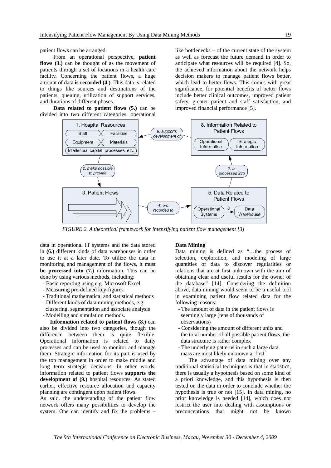patient flows can be arranged.

From an operational perspective, **patient flows (3.)** can be thought of as the movement of patients through a set of locations in a health care facility. Concerning the patient flows, a huge amount of data **is recorded (4.)**. This data is related to things like sources and destinations of the patients, queuing, utilization of support services, and durations of different phases.

**Data related to patient flows (5.)** can be divided into two different categories: operational like bottlenecks – of the current state of the system as well as forecast the future demand in order to anticipate what resources will be required [4]. So, the achieved information about the network helps decision makers to manage patient flows better, which lead to better flows. This comes with great significance, for potential benefits of better flows include better clinical outcomes, improved patient safety, greater patient and staff satisfaction, and improved financial performance [5].



*FIGURE 2. A theoretical framework for intensifying patient flow management [3]*

data in operational IT systems and the data stored in **(6.)** different kinds of data warehouses in order to use it at a later date. To utilize the data in monitoring and management of the flows, it must **be processed into (7.)** information. This can be done by using various methods, including:

- Basic reporting using e.g. Microsoft Excel
- Measuring pre-defined key-figures
- Traditional mathematical and statistical methods
- Different kinds of data mining methods, e.g. clustering, segmentation and associate analysis
- Modelling and simulation methods.

**Information related to patient flows (8.)** can also be divided into two categories, though the difference between them is quite flexible. Operational information is related to daily processes and can be used to monitor and manage them. Strategic information for its part is used by the top management in order to make middle and long term strategic decisions. In other words, information related to patient flows **supports the development of (9.)** hospital resources. As stated earlier, effective resource allocation and capacity planning are contingent upon patient flows.

As said, the understanding of the patient flow network offers many possibilities to develop the system. One can identify and fix the problems –

#### **Data Mining**

Data mining is defined as "…the process of selection, exploration, and modeling of large quantities of data to discover regularities or relations that are at first unknown with the aim of obtaining clear and useful results for the owner of the database" [14]. Considering the definition above, data mining would seem to be a useful tool in examining patient flow related data for the following reasons:

- The amount of data in the patient flows is seemingly large (tens of thousands of observations)
- Considering the amount of different units and the total number of all possible patient flows, the data structure is rather complex
- The underlying patterns in such a large data mass are most likely unknown at first.

The advantage of data mining over any traditional statistical techniques is that in statistics, there is usually a hypothesis based on some kind of a priori knowledge, and this hypothesis is then tested on the data in order to conclude whether the hypothesis is true or not [15]. In data mining, no prior knowledge is needed [14], which does not restrict the user into dealing with assumptions or preconceptions that might not be known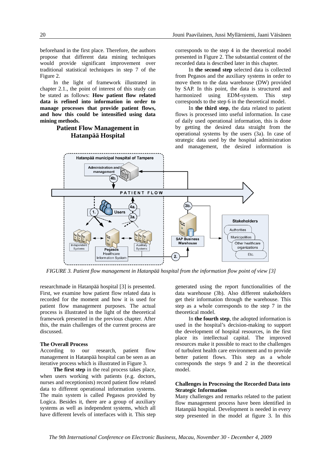beforehand in the first place. Therefore, the authors propose that different data mining techniques would provide significant improvement over traditional statistical techniques in step 7 of the Figure 2.

In the light of framework illustrated in chapter 2.1., the point of interest of this study can be stated as follows: **How patient flow related data is refined into information in order to manage processes that provide patient flows, and how this could be intensified using data mining methods.** 

## **Patient Flow Management in Hatanpää Hospital**

corresponds to the step 4 in the theoretical model presented in Figure 2. The substantial content of the recorded data is described later in this chapter.

In **the second step** selected data is collected from Pegasos and the auxiliary systems in order to move them to the data warehouse (DW) provided by SAP. In this point, the data is structured and harmonized using EDM-system. This step corresponds to the step 6 in the theoretical model.

In **the third step**, the data related to patient flows is processed into useful information. In case of daily used operational information, this is done by getting the desired data straight from the operational systems by the users (3a). In case of strategic data used by the hospital administration and management, the desired information is



*FIGURE 3. Patient flow management in Hatanpää hospital from the information flow point of view [3]* 

researchmade in Hatanpää hospital [3] is presented. First, we examine how patient flow related data is recorded for the moment and how it is used for patient flow management purposes. The actual process is illustrated in the light of the theoretical framework presented in the previous chapter. After this, the main challenges of the current process are discussed.

## **The Overall Process**

According to our research, patient flow management in Hatanpää hospital can be seen as an iterative process which is illustrated in Figure 3.

**The first step** in the real process takes place, when users working with patients (e.g. doctors, nurses and receptionists) record patient flow related data to different operational information systems. The main system is called Pegasos provided by Logica. Besides it, there are a group of auxiliary systems as well as independent systems, which all have different levels of interfaces with it. This step

generated using the report functionalities of the data warehouse (3b). Also different stakeholders get their information through the warehouse. This step as a whole corresponds to the step 7 in the theoretical model.

In **the fourth step**, the adopted information is used in the hospital's decision-making to support the development of hospital resources, in the first place its intellectual capital. The improved resources make it possible to react to the challenges of turbulent health care environment and to provide better patient flows. This step as a whole corresponds the steps 9 and 2 in the theoretical model.

#### **Challenges in Processing the Recorded Data into Strategic Information**

Many challenges and remarks related to the patient flow management process have been identified in Hatanpää hospital. Development is needed in every step presented in the model at figure 3. In this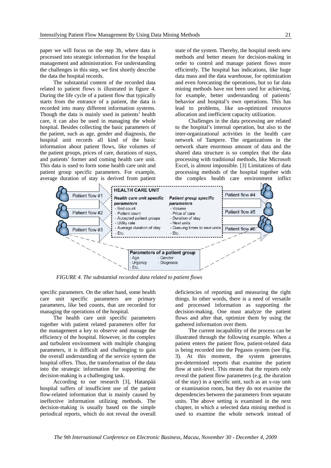paper we will focus on the step 3b, where data is processed into strategic information for the hospital management and administration. For understanding the challenges in this step, we first shortly describe the data the hospital records.

The substantial content of the recorded data related to patient flows is illustrated in figure 4. During the life cycle of a patient flow that typically starts from the entrance of a patient, the data is recorded into many different information systems. Though the data is mainly used in patients' health care, it can also be used in managing the whole hospital. Besides collecting the basic parameters of the patient, such as age, gender and diagnosis, the hospital unit records all kind of the basic information about patient flows, like volumes of the patient groups, prices of care, durations of stays, and patients' former and coming health care unit. This data is used to form some health care unit and patient group specific parameters. For example, average duration of stay is derived from patient

state of the system. Thereby, the hospital needs new methods and better means for decision-making in order to control and manage patient flows more efficiently. The hospital has indications, like huge data mass and the data warehouse, for optimization and even forecasting the operations, but so far data mining methods have not been used for achieving, for example, better understanding of patients' behavior and hospital's own operations. This has lead to problems, like un-optimized resource allocation and inefficient capacity utilization.

Challenges in the data processing are related to the hospital's internal operation, but also to the inter-organizational activities in the health care network of Tampere. The organizations in the network share enormous amount of data and the shared data structure is so complex that the data processing with traditional methods, like Microsoft Excel, is almost impossible. [3] Limitations of data processing methods of the hospital together with the complex health care environment inflict



*FIGURE 4. The substantial recorded data related to patient flows* 

specific parameters. On the other hand, some health care unit specific parameters are primary parameters, like bed counts, that are recorded for managing the operations of the hospital.

The health care unit specific parameters together with patient related parameters offer for the management a key to observe and manage the efficiency of the hospital. However, in the complex and turbulent environment with multiple changing parameters, it is difficult and challenging to gain the overall understanding of the service system the hospital offers. Thus, the transformation of the data into the strategic information for supporting the decision-making is a challenging task.

According to our research [3], Hatanpää hospital suffers of insufficient use of the patient flow-related information that is mainly caused by ineffective information utilizing methods. The decision-making is usually based on the simple periodical reports, which do not reveal the overall deficiencies of reporting and measuring the right things. In other words, there is a need of versatile and processed information as supporting the decision-making. One must analyze the patient flows and after that, optimize them by using the gathered information over them.

The current incapability of the process can be illustrated through the following example. When a patient enters the patient flow, patient-related data is being recorded into the Pegasos system (see Fig. 3). At this moment, the system generates pre-determined reports that examine the patient flow at unit-level. This means that the reports only reveal the patient flow parameters (e.g. the duration of the stay) in a specific unit, such as an x-ray unit or examination room, but they do not examine the dependencies between the parameters from separate units. The above setting is examined in the next chapter, in which a selected data mining method is used to examine the whole network instead of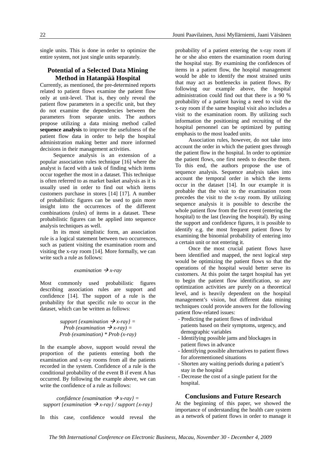single units. This is done in order to optimize the entire system, not just single units separately.

## **Potential of a Selected Data Mining Method in Hatanpää Hospital**

Currently, as mentioned, the pre-determined reports related to patient flows examine the patient flow only at unit-level. That is, they only reveal the patient flow parameters in a specific unit, but they do not examine the dependencies between the parameters from separate units. The authors propose utilizing a data mining method called **sequence analysis** to improve the usefulness of the patient flow data in order to help the hospital administration making better and more informed decisions in their management activities.

Sequence analysis is an extension of a popular association rules technique [16] where the analyst is faced with a task of finding which items occur together the most in a dataset. This technique is often referred to as market basket analysis as it is usually used in order to find out which items customers purchase in stores [14] [17]. A number of probabilistic figures can be used to gain more insight into the occurrences of the different combinations (rules) of items in a dataset. These probabilistic figures can be applied into sequence analysis techniques as well.

In its most simplistic form, an association rule is a logical statement between two occurrences, such as patient visiting the examination room and visiting the x-ray room [14]. More formally, we can write such a rule as follows:

## *examination*  $\rightarrow$  *x*-ray

Most commonly used probabilistic figures describing association rules are support and confidence [14]. The support of a rule is the probability for that specific rule to occur in the dataset, which can be written as follows:

> *support {examination*  $\rightarrow$  *x-ray}* = *Prob (examination*  $\rightarrow$  *x-ray)* = *Prob (examination) \* Prob (x-ray)*

In the example above, support would reveal the proportion of the patients entering both the examination and x-ray rooms from all the patients recorded in the system. Confidence of a rule is the conditional probability of the event B if event A has occurred. By following the example above, we can write the confidence of a rule as follows:

*confidence {examination*  $\rightarrow$  *x-ray}* = *support {examination*  $\rightarrow$  *x-ray} / support {x-ray}* 

In this case, confidence would reveal the

probability of a patient entering the x-ray room if he or she also enters the examination room during the hospital stay. By examining the confidences of items in a patient flow, the hospital management would be able to identify the most strained units that may act as bottlenecks in patient flows. By following our example above, the hospital administration could find out that there is a 90 % probability of a patient having a need to visit the x-ray room if the same hospital visit also includes a visit to the examination room. By utilizing such information the positioning and recruiting of the hospital personnel can be optimized by putting emphasis to the most loaded units.

Association rules, however, do not take into account the order in which the patient goes through the patient flow in the hospital. In order to optimize the patient flows, one first needs to describe them. To this end, the authors propose the use of sequence analysis. Sequence analysis takes into account the temporal order in which the items occur in the dataset [14]. In our example it is probable that the visit to the examination room precedes the visit to the x-ray room. By utilizing sequence analysis it is possible to describe the whole patient flow from the first event (entering the hospital) to the last (leaving the hospital). By using the support and confidence figures, it is possible to identify e.g. the most frequent patient flows by examining the binomial probability of entering into a certain unit or not entering it.

Once the most crucial patient flows have been identified and mapped, the next logical step would be optimizing the patient flows so that the operations of the hospital would better serve its customers. At this point the target hospital has yet to begin the patient flow identification, so any optimization activities are purely on a theoretical level, and is heavily dependent on the hospital management's vision, but different data mining techniques could provide answers for the following patient flow-related issues:

- Predicting the patient flows of individual patients based on their symptoms, urgency, and demographic variables
- Identifying possible jams and blockages in patient flows in advance
- Identifying possible alternatives to patient flows for aforementioned situations
- Shorten any waiting periods during a patient's stay in the hospital
- Decrease the cost of a single patient for the hospital.

#### **Conclusions and Future Research**

At the beginning of this paper, we showed the importance of understanding the health care system as a network of patient flows in order to manage it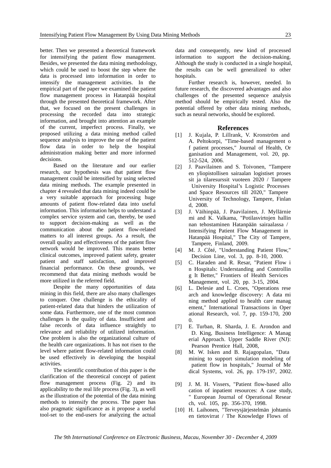better. Then we presented a theoretical framework for intensifying the patient flow management. Besides, we presented the data mining methodology, which could be used to boost the step where the data is processed into information in order to intensify the management activities. In the empirical part of the paper we examined the patient flow management process in Hatanpää hospital through the presented theoretical framework. After that, we focused on the present challenges in processing the recorded data into strategic information, and brought into attention an example of the current, imperfect process. Finally, we proposed utilizing a data mining method called sequence analysis to improve the use of the patient flow data in order to help the hospital administration making better and more informed decisions.

Based on the literature and our earlier research, our hypothesis was that patient flow management could be intensified by using selected data mining methods. The example presented in chapter 4 revealed that data mining indeed could be a very suitable approach for processing huge amounts of patient flow-related data into useful information. This information helps to understand a complex service system and can, thereby, be used to support decision-making as well as the communication about the patient flow-related matters to all interest groups. As a result, the overall quality and effectiveness of the patient flow network would be improved. This means better clinical outcomes, improved patient safety, greater patient and staff satisfaction, and improved financial performance. On these grounds, we recommend that data mining methods would be more utilized in the referred field.

Despite the many opportunities of data mining in this field, there are also many challenges to conquer. One challenge is the ethicality of patient-related data that hinders the utilization of some data. Furthermore, one of the most common challenges is the quality of data. Insufficient and false records of data influence straightly to relevance and reliability of utilized information. One problem is also the organizational culture of the health care organizations. It has not risen to the level where patient flow-related information could be used effectively in developing the hospital activities.

The scientific contribution of this paper is the clarification of the theoretical concept of patient flow management process (Fig. 2) and its applicability to the real life process (Fig. 3), as well as the illustration of the potential of the data mining methods to intensify the process. The paper has also pragmatic significance as it propose a useful tool-set to the end-users for analyzing the actual

data and consequently, new kind of processed information to support the decision-making. Although the study is conducted in a single hospital, the results can be well generalized to other hospitals.

Further research is, however, needed. In future research, the discovered advantages and also challenges of the presented sequence analysis method should be empirically tested. Also the potential offered by other data mining methods, such as neural networks, should be explored.

## **References**

- [1] J. Kujala, P. Lillrank, V. Kronström and A. Peltokorpi, "Time-based management o f patient processes," Journal of Health, Or ganisation and Management, vol. 20, pp. 512-524, 2006.
- [2] J. Paavilainen and S. Toivonen, "Tampere en yliopistollisen sairaalan logistiset proses sit ja tilaresurssit vuoteen 2020 / Tampere University Hospital's Logistic Processes and Space Resources till 2020," Tampere University of Technology, Tampere, Finlan d, 2008.
- [3] J. Väihinpää, J. Paavilainen, J. Myllärnie mi and K. Valkama, "Potilasvirtojen hallin nan tehostaminen Hatanpään sairaalassa / Intensifying Patient Flow Management in Hatanpää Hospital," The City of Tampere, Tampere, Finland, 2009.
- [4] M. J. Côté, "Understanding Patient Flow," Decision Line, vol. 3, pp. 8-10, 2000.
- [5] C. Haraden and R. Resar, "Patient Flow i n Hospitals: Understanding and Controllin g It Better," Frontiers of Health Services Management, vol. 20, pp. 3-15, 2004.
- [6] L. Delesie and L. Croes, "Operations rese arch and knowledge discovery: A data mi ning method applied to health care manag ement," International Transactions in Oper ational Research, vol. 7, pp. 159-170, 200  $\Omega$ .
- [7] E. Turban, R. Sharda, J. E. Arondon and D. King, Business Intelligence: A Manag erial Approach. Upper Saddle River (NJ): Pearson Prentice Hall, 2008,
- [8] M. W. Isken and B. Rajagopalan, "Data mining to support simulation modeling of patient flow in hospitals," Journal of Me dical Systems, vol. 26, pp. 179-197, 2002.
- [9] J. M. H. Vissers, "Patient flow-based allo cation of inpatient resources: A case study, " European Journal of Operational Resear ch, vol. 105, pp. 356-370, 1998.
- [10] H. Laihonen, "Terveysjärjestelmän johtamis en tietovirrat / The Knowledge Flows of